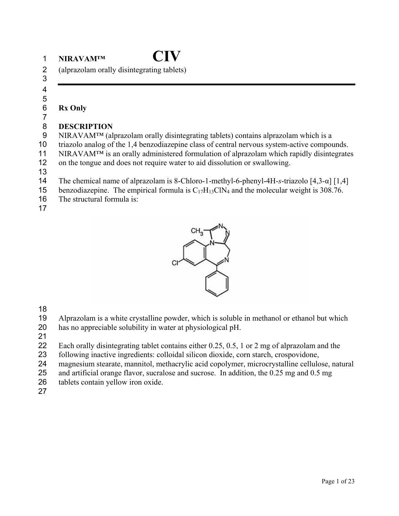1 **NIRAVAM<sup>™</sup> <b>CIV**<br>2 (alprazolam orally disintegrating tablets) (alprazolam orally disintegrating tablets) **Rx Only DESCRIPTION**  9 NIRAVAM™ (alprazolam orally disintegrating tablets) contains alprazolam which is a triazolo analog of the 1,4 benzodiazepine class of central nervous system-active compounds. NIRAVAM™ is an orally administered formulation of alprazolam which rapidly disintegrates on the tongue and does not require water to aid dissolution or swallowing. The chemical name of alprazolam is 8-Chloro-1-methyl-6-phenyl-4H-*s*-triazolo [4,3-α] [1,4] 15 benzodiazepine. The empirical formula is  $C_{17}H_{13}CN_4$  and the molecular weight is 308.76. The structural formula is: 



- 
- Alprazolam is a white crystalline powder, which is soluble in methanol or ethanol but which has no appreciable solubility in water at physiological pH.
- 

Each orally disintegrating tablet contains either 0.25, 0.5, 1 or 2 mg of alprazolam and the

following inactive ingredients: colloidal silicon dioxide, corn starch, crospovidone,

- magnesium stearate, mannitol, methacrylic acid copolymer, microcrystalline cellulose, natural
- and artificial orange flavor, sucralose and sucrose. In addition, the 0.25 mg and 0.5 mg
- tablets contain yellow iron oxide.
-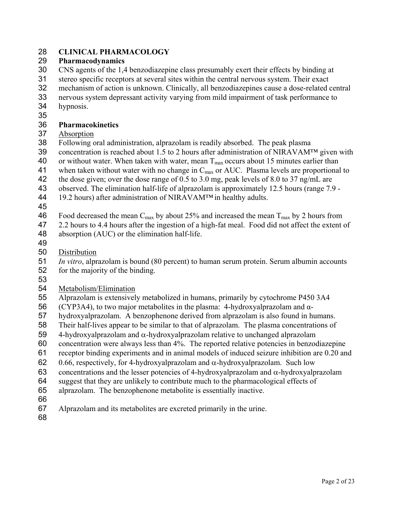#### **CLINICAL PHARMACOLOGY**

#### **Pharmacodynamics**

- CNS agents of the 1,4 benzodiazepine class presumably exert their effects by binding at
- stereo specific receptors at several sites within the central nervous system. Their exact
- mechanism of action is unknown. Clinically, all benzodiazepines cause a dose-related central
- nervous system depressant activity varying from mild impairment of task performance to
- hypnosis.
- 

#### **Pharmacokinetics**

- Absorption
- Following oral administration, alprazolam is readily absorbed. The peak plasma
- concentration is reached about 1.5 to 2 hours after administration of NIRAVAM™ given with
- 40 or without water. When taken with water, mean  $T_{\text{max}}$  occurs about 15 minutes earlier than
- 41 when taken without water with no change in  $C_{\text{max}}$  or AUC. Plasma levels are proportional to
- 42 the dose given; over the dose range of 0.5 to 3.0 mg, peak levels of 8.0 to 37 ng/mL are
- observed. The elimination half-life of alprazolam is approximately 12.5 hours (range 7.9 -
- 44 19.2 hours) after administration of NIRAVAM<sup>TM</sup> in healthy adults.
- 
- 46 Food decreased the mean  $C_{\text{max}}$  by about 25% and increased the mean  $T_{\text{max}}$  by 2 hours from
- 2.2 hours to 4.4 hours after the ingestion of a high-fat meal. Food did not affect the extent of absorption (AUC) or the elimination half-life.
- 
- Distribution

*In vitro*, alprazolam is bound (80 percent) to human serum protein. Serum albumin accounts for the majority of the binding.

- 
- Metabolism/Elimination
- Alprazolam is extensively metabolized in humans, primarily by cytochrome P450 3A4
- 56 (CYP3A4), to two major metabolites in the plasma: 4-hydroxyalprazolam and  $α-$
- hydroxyalprazolam. A benzophenone derived from alprazolam is also found in humans.
- Their half-lives appear to be similar to that of alprazolam. The plasma concentrations of
- 4-hydroxyalprazolam and α-hydroxyalprazolam relative to unchanged alprazolam
- concentration were always less than 4%. The reported relative potencies in benzodiazepine
- receptor binding experiments and in animal models of induced seizure inhibition are 0.20 and
- 62 0.66, respectively, for 4-hydroxyalprazolam and  $\alpha$ -hydroxyalprazolam. Such low
- 63 concentrations and the lesser potencies of 4-hydroxyalprazolam and  $\alpha$ -hydroxyalprazolam
- suggest that they are unlikely to contribute much to the pharmacological effects of
- alprazolam. The benzophenone metabolite is essentially inactive.
- 
- Alprazolam and its metabolites are excreted primarily in the urine.
-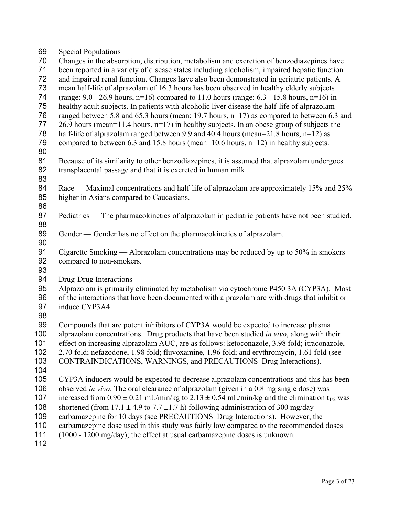- Special Populations
- Changes in the absorption, distribution, metabolism and excretion of benzodiazepines have
- been reported in a variety of disease states including alcoholism, impaired hepatic function
- and impaired renal function. Changes have also been demonstrated in geriatric patients. A
- mean half-life of alprazolam of 16.3 hours has been observed in healthy elderly subjects (range: 9.0 - 26.9 hours, n=16) compared to 11.0 hours (range: 6.3 - 15.8 hours, n=16) in
- healthy adult subjects. In patients with alcoholic liver disease the half-life of alprazolam
- ranged between 5.8 and 65.3 hours (mean: 19.7 hours, n=17) as compared to between 6.3 and
- 26.9 hours (mean=11.4 hours, n=17) in healthy subjects. In an obese group of subjects the
- half-life of alprazolam ranged between 9.9 and 40.4 hours (mean=21.8 hours, n=12) as
- compared to between 6.3 and 15.8 hours (mean=10.6 hours, n=12) in healthy subjects.
- 
- 81 Because of its similarity to other benzodiazepines, it is assumed that alprazolam undergoes transplacental passage and that it is excreted in human milk.
- 
- 84 Race Maximal concentrations and half-life of alprazolam are approximately 15% and 25% higher in Asians compared to Caucasians.
- Pediatrics — The pharmacokinetics of alprazolam in pediatric patients have not been studied.
- Gender — Gender has no effect on the pharmacokinetics of alprazolam.
- Cigarette Smoking — Alprazolam concentrations may be reduced by up to 50% in smokers compared to non-smokers.
- 
- Drug-Drug Interactions
- Alprazolam is primarily eliminated by metabolism via cytochrome P450 3A (CYP3A). Most of the interactions that have been documented with alprazolam are with drugs that inhibit or induce CYP3A4.
- 

Compounds that are potent inhibitors of CYP3A would be expected to increase plasma

- alprazolam concentrations. Drug products that have been studied *in vivo*, along with their
- effect on increasing alprazolam AUC, are as follows: ketoconazole, 3.98 fold; itraconazole,
- 2.70 fold; nefazodone, 1.98 fold; fluvoxamine, 1.96 fold; and erythromycin, 1.61 fold (see
- CONTRAINDICATIONS, WARNINGS, and PRECAUTIONS–Drug Interactions).
- 

CYP3A inducers would be expected to decrease alprazolam concentrations and this has been observed *in vivo*. The oral clearance of alprazolam (given in a 0.8 mg single dose) was

- 107 increased from  $0.90 \pm 0.21$  mL/min/kg to  $2.13 \pm 0.54$  mL/min/kg and the elimination  $t_{1/2}$  was
- 108 shortened (from 17.1  $\pm$  4.9 to 7.7  $\pm$ 1.7 h) following administration of 300 mg/day
- carbamazepine for 10 days (see PRECAUTIONS–Drug Interactions). However, the
- carbamazepine dose used in this study was fairly low compared to the recommended doses
- (1000 1200 mg/day); the effect at usual carbamazepine doses is unknown.
-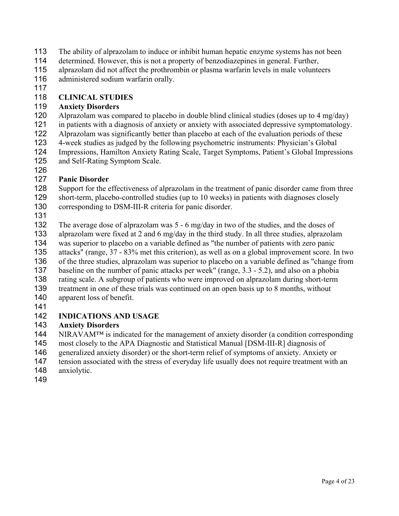- The ability of alprazolam to induce or inhibit human hepatic enzyme systems has not been
- determined. However, this is not a property of benzodiazepines in general. Further,
- alprazolam did not affect the prothrombin or plasma warfarin levels in male volunteers
- 116 administered sodium warfarin orally.
- 

#### **CLINICAL STUDIES**

#### **Anxiety Disorders**

Alprazolam was compared to placebo in double blind clinical studies (doses up to 4 mg/day) in patients with a diagnosis of anxiety or anxiety with associated depressive symptomatology. Alprazolam was significantly better than placebo at each of the evaluation periods of these 4-week studies as judged by the following psychometric instruments: Physician's Global Impressions, Hamilton Anxiety Rating Scale, Target Symptoms, Patient's Global Impressions

- and Self-Rating Symptom Scale.
- 

#### **Panic Disorder**

Support for the effectiveness of alprazolam in the treatment of panic disorder came from three short-term, placebo-controlled studies (up to 10 weeks) in patients with diagnoses closely corresponding to DSM-III-R criteria for panic disorder.

The average dose of alprazolam was 5 - 6 mg/day in two of the studies, and the doses of

- alprazolam were fixed at 2 and 6 mg/day in the third study. In all three studies, alprazolam
- was superior to placebo on a variable defined as "the number of patients with zero panic

attacks" (range, 37 - 83% met this criterion), as well as on a global improvement score. In two

- of the three studies, alprazolam was superior to placebo on a variable defined as "change from
- baseline on the number of panic attacks per week" (range, 3.3 5.2), and also on a phobia
- rating scale. A subgroup of patients who were improved on alprazolam during short-term

treatment in one of these trials was continued on an open basis up to 8 months, without

- apparent loss of benefit.
- 

#### **INDICATIONS AND USAGE**

#### **Anxiety Disorders**

NIRAVAM<sup>TM</sup> is indicated for the management of anxiety disorder (a condition corresponding

most closely to the APA Diagnostic and Statistical Manual [DSM-III-R] diagnosis of

generalized anxiety disorder) or the short-term relief of symptoms of anxiety. Anxiety or

147 tension associated with the stress of everyday life usually does not require treatment with an

- anxiolytic.
-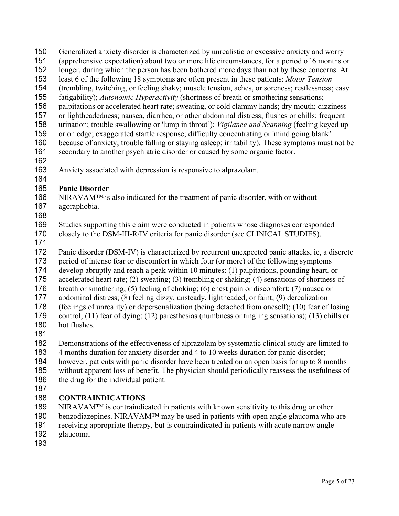- Generalized anxiety disorder is characterized by unrealistic or excessive anxiety and worry
- (apprehensive expectation) about two or more life circumstances, for a period of 6 months or
- longer, during which the person has been bothered more days than not by these concerns. At
- least 6 of the following 18 symptoms are often present in these patients: *Motor Tension*
- (trembling, twitching, or feeling shaky; muscle tension, aches, or soreness; restlessness; easy
- fatigability); *Autonomic Hyperactivity* (shortness of breath or smothering sensations;
- palpitations or accelerated heart rate; sweating, or cold clammy hands; dry mouth; dizziness
- or lightheadedness; nausea, diarrhea, or other abdominal distress; flushes or chills; frequent
- urination; trouble swallowing or 'lump in throat'); *Vigilance and Scanning* (feeling keyed up
- or on edge; exaggerated startle response; difficulty concentrating or 'mind going blank'
- because of anxiety; trouble falling or staying asleep; irritability). These symptoms must not be secondary to another psychiatric disorder or caused by some organic factor.
- 
- Anxiety associated with depression is responsive to alprazolam.
- **Panic Disorder**
- NIRAVAM™ is also indicated for the treatment of panic disorder, with or without agoraphobia.
- 
- Studies supporting this claim were conducted in patients whose diagnoses corresponded closely to the DSM-III-R/IV criteria for panic disorder (see CLINICAL STUDIES).
- 

Panic disorder (DSM-IV) is characterized by recurrent unexpected panic attacks, ie, a discrete period of intense fear or discomfort in which four (or more) of the following symptoms

develop abruptly and reach a peak within 10 minutes: (1) palpitations, pounding heart, or accelerated heart rate; (2) sweating; (3) trembling or shaking; (4) sensations of shortness of

breath or smothering; (5) feeling of choking; (6) chest pain or discomfort; (7) nausea or

- abdominal distress; (8) feeling dizzy, unsteady, lightheaded, or faint; (9) derealization
- (feelings of unreality) or depersonalization (being detached from oneself); (10) fear of losing
- control; (11) fear of dying; (12) paresthesias (numbness or tingling sensations); (13) chills or hot flushes.
- 

Demonstrations of the effectiveness of alprazolam by systematic clinical study are limited to

- 4 months duration for anxiety disorder and 4 to 10 weeks duration for panic disorder;
- however, patients with panic disorder have been treated on an open basis for up to 8 months
- without apparent loss of benefit. The physician should periodically reassess the usefulness of 186 the drug for the individual patient.
- 

# **CONTRAINDICATIONS**

189 NIRAVAM<sup>TM</sup> is contraindicated in patients with known sensitivity to this drug or other

190 benzodiazepines. NIRAVAM<sup>TM</sup> may be used in patients with open angle glaucoma who are

- receiving appropriate therapy, but is contraindicated in patients with acute narrow angle
- glaucoma.
-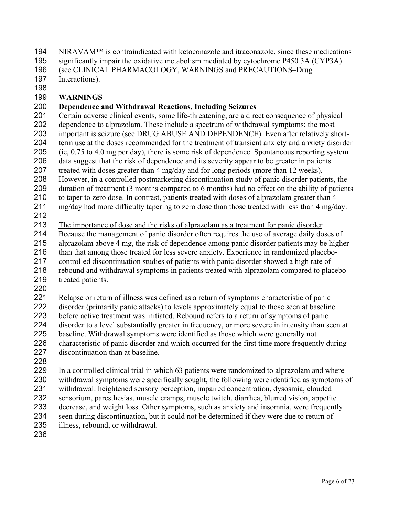- NIRAVAM™ is contraindicated with ketoconazole and itraconazole, since these medications
- significantly impair the oxidative metabolism mediated by cytochrome P450 3A (CYP3A)
- (see CLINICAL PHARMACOLOGY, WARNINGS and PRECAUTIONS–Drug
- Interactions).
- 

#### **WARNINGS**

#### **Dependence and Withdrawal Reactions, Including Seizures**

Certain adverse clinical events, some life-threatening, are a direct consequence of physical dependence to alprazolam. These include a spectrum of withdrawal symptoms; the most important is seizure (see DRUG ABUSE AND DEPENDENCE). Even after relatively short-term use at the doses recommended for the treatment of transient anxiety and anxiety disorder (ie, 0.75 to 4.0 mg per day), there is some risk of dependence. Spontaneous reporting system data suggest that the risk of dependence and its severity appear to be greater in patients treated with doses greater than 4 mg/day and for long periods (more than 12 weeks). However, in a controlled postmarketing discontinuation study of panic disorder patients, the duration of treatment (3 months compared to 6 months) had no effect on the ability of patients 210 to taper to zero dose. In contrast, patients treated with doses of alprazolam greater than 4 mg/day had more difficulty tapering to zero dose than those treated with less than 4 mg/day.

The importance of dose and the risks of alprazolam as a treatment for panic disorder

Because the management of panic disorder often requires the use of average daily doses of alprazolam above 4 mg, the risk of dependence among panic disorder patients may be higher 216 than that among those treated for less severe anxiety. Experience in randomized placebo-controlled discontinuation studies of patients with panic disorder showed a high rate of rebound and withdrawal symptoms in patients treated with alprazolam compared to placebo-

- treated patients.
- 

Relapse or return of illness was defined as a return of symptoms characteristic of panic 222 disorder (primarily panic attacks) to levels approximately equal to those seen at baseline before active treatment was initiated. Rebound refers to a return of symptoms of panic disorder to a level substantially greater in frequency, or more severe in intensity than seen at baseline. Withdrawal symptoms were identified as those which were generally not characteristic of panic disorder and which occurred for the first time more frequently during 227 discontinuation than at baseline.

In a controlled clinical trial in which 63 patients were randomized to alprazolam and where withdrawal symptoms were specifically sought, the following were identified as symptoms of withdrawal: heightened sensory perception, impaired concentration, dysosmia, clouded sensorium, paresthesias, muscle cramps, muscle twitch, diarrhea, blurred vision, appetite decrease, and weight loss. Other symptoms, such as anxiety and insomnia, were frequently seen during discontinuation, but it could not be determined if they were due to return of illness, rebound, or withdrawal.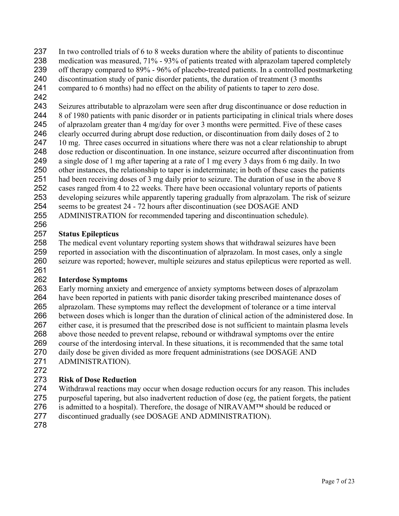- In two controlled trials of 6 to 8 weeks duration where the ability of patients to discontinue
- medication was measured, 71% 93% of patients treated with alprazolam tapered completely
- off therapy compared to 89% 96% of placebo-treated patients. In a controlled postmarketing
- discontinuation study of panic disorder patients, the duration of treatment (3 months
- compared to 6 months) had no effect on the ability of patients to taper to zero dose.
- 
- Seizures attributable to alprazolam were seen after drug discontinuance or dose reduction in 8 of 1980 patients with panic disorder or in patients participating in clinical trials where doses 245 of alprazolam greater than 4 mg/day for over 3 months were permitted. Five of these cases clearly occurred during abrupt dose reduction, or discontinuation from daily doses of 2 to 247 10 mg. Three cases occurred in situations where there was not a clear relationship to abrupt dose reduction or discontinuation. In one instance, seizure occurred after discontinuation from a single dose of 1 mg after tapering at a rate of 1 mg every 3 days from 6 mg daily. In two other instances, the relationship to taper is indeterminate; in both of these cases the patients had been receiving doses of 3 mg daily prior to seizure. The duration of use in the above 8 cases ranged from 4 to 22 weeks. There have been occasional voluntary reports of patients developing seizures while apparently tapering gradually from alprazolam. The risk of seizure seems to be greatest 24 - 72 hours after discontinuation (see DOSAGE AND
- ADMINISTRATION for recommended tapering and discontinuation schedule).

# **Status Epilepticus**

The medical event voluntary reporting system shows that withdrawal seizures have been reported in association with the discontinuation of alprazolam. In most cases, only a single seizure was reported; however, multiple seizures and status epilepticus were reported as well.

# **Interdose Symptoms**

Early morning anxiety and emergence of anxiety symptoms between doses of alprazolam have been reported in patients with panic disorder taking prescribed maintenance doses of alprazolam. These symptoms may reflect the development of tolerance or a time interval between doses which is longer than the duration of clinical action of the administered dose. In either case, it is presumed that the prescribed dose is not sufficient to maintain plasma levels above those needed to prevent relapse, rebound or withdrawal symptoms over the entire course of the interdosing interval. In these situations, it is recommended that the same total 270 daily dose be given divided as more frequent administrations (see DOSAGE AND ADMINISTRATION).

# **Risk of Dose Reduction**

Withdrawal reactions may occur when dosage reduction occurs for any reason. This includes purposeful tapering, but also inadvertent reduction of dose (eg, the patient forgets, the patient 276 is admitted to a hospital). Therefore, the dosage of NIRAVAM<sup>TM</sup> should be reduced or

- discontinued gradually (see DOSAGE AND ADMINISTRATION).
-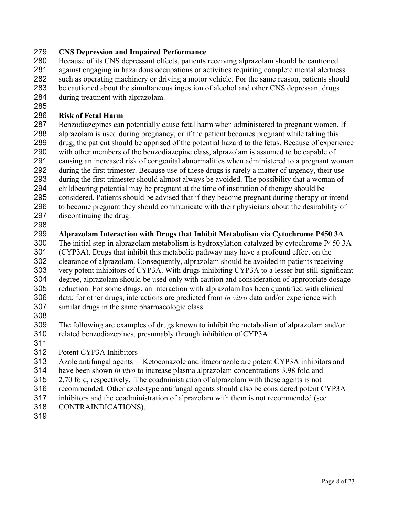#### **CNS Depression and Impaired Performance**

Because of its CNS depressant effects, patients receiving alprazolam should be cautioned against engaging in hazardous occupations or activities requiring complete mental alertness such as operating machinery or driving a motor vehicle. For the same reason, patients should be cautioned about the simultaneous ingestion of alcohol and other CNS depressant drugs during treatment with alprazolam.

#### **Risk of Fetal Harm**

Benzodiazepines can potentially cause fetal harm when administered to pregnant women. If alprazolam is used during pregnancy, or if the patient becomes pregnant while taking this drug, the patient should be apprised of the potential hazard to the fetus. Because of experience with other members of the benzodiazepine class, alprazolam is assumed to be capable of causing an increased risk of congenital abnormalities when administered to a pregnant woman during the first trimester. Because use of these drugs is rarely a matter of urgency, their use during the first trimester should almost always be avoided. The possibility that a woman of childbearing potential may be pregnant at the time of institution of therapy should be considered. Patients should be advised that if they become pregnant during therapy or intend to become pregnant they should communicate with their physicians about the desirability of discontinuing the drug.

#### **Alprazolam Interaction with Drugs that Inhibit Metabolism via Cytochrome P450 3A**

The initial step in alprazolam metabolism is hydroxylation catalyzed by cytochrome P450 3A (CYP3A). Drugs that inhibit this metabolic pathway may have a profound effect on the clearance of alprazolam. Consequently, alprazolam should be avoided in patients receiving very potent inhibitors of CYP3A. With drugs inhibiting CYP3A to a lesser but still significant degree, alprazolam should be used only with caution and consideration of appropriate dosage reduction. For some drugs, an interaction with alprazolam has been quantified with clinical data; for other drugs, interactions are predicted from *in vitro* data and/or experience with similar drugs in the same pharmacologic class.

#### The following are examples of drugs known to inhibit the metabolism of alprazolam and/or

- related benzodiazepines, presumably through inhibition of CYP3A.
- 

#### Potent CYP3A Inhibitors

- Azole antifungal agents— Ketoconazole and itraconazole are potent CYP3A inhibitors and
- have been shown *in vivo* to increase plasma alprazolam concentrations 3.98 fold and
- 2.70 fold, respectively. The coadministration of alprazolam with these agents is not
- recommended. Other azole-type antifungal agents should also be considered potent CYP3A
- inhibitors and the coadministration of alprazolam with them is not recommended (see CONTRAINDICATIONS).
-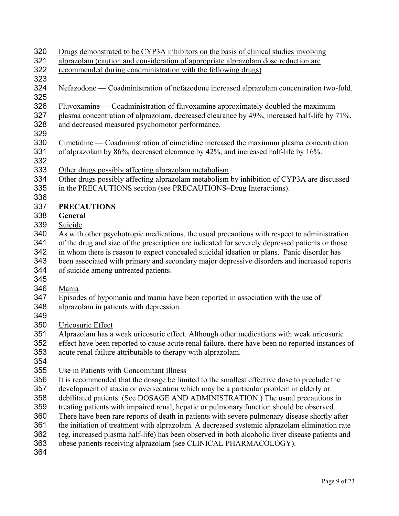- Drugs demonstrated to be CYP3A inhibitors on the basis of clinical studies involving
- alprazolam (caution and consideration of appropriate alprazolam dose reduction are recommended during coadministration with the following drugs)
- 
- Nefazodone Coadministration of nefazodone increased alprazolam concentration two-fold.
- 
- Fluvoxamine Coadministration of fluvoxamine approximately doubled the maximum
- plasma concentration of alprazolam, decreased clearance by 49%, increased half-life by 71%, and decreased measured psychomotor performance.
- 
- Cimetidine Coadministration of cimetidine increased the maximum plasma concentration
- of alprazolam by 86%, decreased clearance by 42%, and increased half-life by 16%.
- Other drugs possibly affecting alprazolam metabolism
- Other drugs possibly affecting alprazolam metabolism by inhibition of CYP3A are discussed in the PRECAUTIONS section (see PRECAUTIONS–Drug Interactions).
- 

# **PRECAUTIONS**

- **General**
- Suicide
- As with other psychotropic medications, the usual precautions with respect to administration of the drug and size of the prescription are indicated for severely depressed patients or those
- in whom there is reason to expect concealed suicidal ideation or plans. Panic disorder has
- been associated with primary and secondary major depressive disorders and increased reports
- of suicide among untreated patients.
- 
- Mania
- Episodes of hypomania and mania have been reported in association with the use of
- alprazolam in patients with depression.
- 
- Uricosuric Effect
- Alprazolam has a weak uricosuric effect. Although other medications with weak uricosuric
- effect have been reported to cause acute renal failure, there have been no reported instances of
- acute renal failure attributable to therapy with alprazolam.
- 
- Use in Patients with Concomitant Illness
- It is recommended that the dosage be limited to the smallest effective dose to preclude the
- development of ataxia or oversedation which may be a particular problem in elderly or
- debilitated patients. (See DOSAGE AND ADMINISTRATION.) The usual precautions in
- treating patients with impaired renal, hepatic or pulmonary function should be observed.
- There have been rare reports of death in patients with severe pulmonary disease shortly after
- the initiation of treatment with alprazolam. A decreased systemic alprazolam elimination rate
- (eg, increased plasma half-life) has been observed in both alcoholic liver disease patients and
- obese patients receiving alprazolam (see CLINICAL PHARMACOLOGY).
-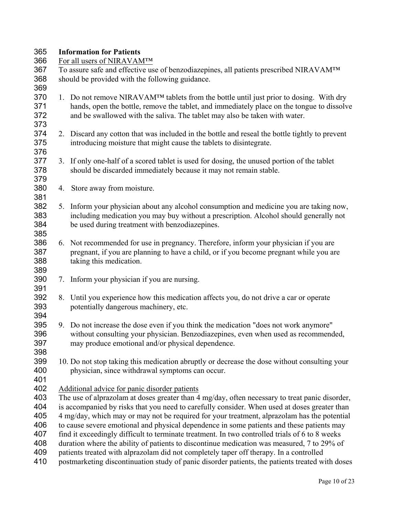#### **Information for Patients**

| 365 |    | <b>Information for Patients</b>                                                                     |
|-----|----|-----------------------------------------------------------------------------------------------------|
| 366 |    | For all users of NIRAVAM™                                                                           |
| 367 |    | To assure safe and effective use of benzodiazepines, all patients prescribed NIRAVAMTM              |
| 368 |    | should be provided with the following guidance.                                                     |
| 369 |    |                                                                                                     |
| 370 |    | 1. Do not remove NIRAVAM <sup>TM</sup> tablets from the bottle until just prior to dosing. With dry |
| 371 |    | hands, open the bottle, remove the tablet, and immediately place on the tongue to dissolve          |
| 372 |    | and be swallowed with the saliva. The tablet may also be taken with water.                          |
| 373 |    |                                                                                                     |
| 374 |    | 2. Discard any cotton that was included in the bottle and reseal the bottle tightly to prevent      |
| 375 |    | introducing moisture that might cause the tablets to disintegrate.                                  |
| 376 |    |                                                                                                     |
|     |    |                                                                                                     |
| 377 |    | 3. If only one-half of a scored tablet is used for dosing, the unused portion of the tablet         |
| 378 |    | should be discarded immediately because it may not remain stable.                                   |
| 379 |    |                                                                                                     |
| 380 | 4. | Store away from moisture.                                                                           |
| 381 |    |                                                                                                     |
| 382 |    | 5. Inform your physician about any alcohol consumption and medicine you are taking now,             |
| 383 |    | including medication you may buy without a prescription. Alcohol should generally not               |
| 384 |    | be used during treatment with benzodiazepines.                                                      |
| 385 |    |                                                                                                     |
| 386 |    | 6. Not recommended for use in pregnancy. Therefore, inform your physician if you are                |
| 387 |    | pregnant, if you are planning to have a child, or if you become pregnant while you are              |
| 388 |    | taking this medication.                                                                             |
| 389 |    |                                                                                                     |
| 390 | 7. | Inform your physician if you are nursing.                                                           |
| 391 |    |                                                                                                     |
| 392 |    | 8. Until you experience how this medication affects you, do not drive a car or operate              |
| 393 |    | potentially dangerous machinery, etc.                                                               |
| 394 |    |                                                                                                     |
| 395 |    | 9. Do not increase the dose even if you think the medication "does not work anymore"                |
| 396 |    | without consulting your physician. Benzodiazepines, even when used as recommended,                  |
| 397 |    | may produce emotional and/or physical dependence.                                                   |
| 398 |    |                                                                                                     |
|     |    |                                                                                                     |
| 399 |    | 10. Do not stop taking this medication abruptly or decrease the dose without consulting your        |
| 400 |    | physician, since withdrawal symptoms can occur.                                                     |
| 401 |    |                                                                                                     |
| 402 |    | Additional advice for panic disorder patients                                                       |
| 403 |    | The use of alprazolam at doses greater than 4 mg/day, often necessary to treat panic disorder,      |
| 404 |    | is accompanied by risks that you need to carefully consider. When used at doses greater than        |
| 405 |    | 4 mg/day, which may or may not be required for your treatment, alprazolam has the potential         |
| 406 |    | to cause severe emotional and physical dependence in some patients and these patients may           |
| 407 |    | find it exceedingly difficult to terminate treatment. In two controlled trials of 6 to 8 weeks      |
| 408 |    | duration where the ability of patients to discontinue medication was measured, 7 to 29% of          |
| 409 |    | patients treated with alprazolam did not completely taper off therapy. In a controlled              |
| 410 |    | postmarketing discontinuation study of panic disorder patients, the patients treated with doses     |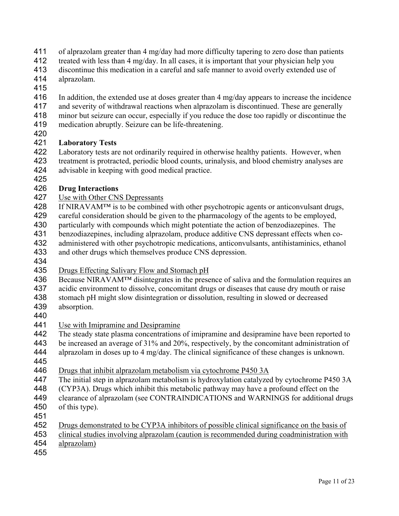- of alprazolam greater than 4 mg/day had more difficulty tapering to zero dose than patients
- treated with less than 4 mg/day. In all cases, it is important that your physician help you
- discontinue this medication in a careful and safe manner to avoid overly extended use of alprazolam.
- 
- In addition, the extended use at doses greater than 4 mg/day appears to increase the incidence
- and severity of withdrawal reactions when alprazolam is discontinued. These are generally
- minor but seizure can occur, especially if you reduce the dose too rapidly or discontinue the
- medication abruptly. Seizure can be life-threatening.
- 

#### **Laboratory Tests**

- Laboratory tests are not ordinarily required in otherwise healthy patients. However, when treatment is protracted, periodic blood counts, urinalysis, and blood chemistry analyses are advisable in keeping with good medical practice.
- 

## **Drug Interactions**

- 427 Use with Other CNS Depressants
- 428 If NIRAVAM<sup>™</sup> is to be combined with other psychotropic agents or anticonvulsant drugs, careful consideration should be given to the pharmacology of the agents to be employed,
- particularly with compounds which might potentiate the action of benzodiazepines. The
- benzodiazepines, including alprazolam, produce additive CNS depressant effects when co-
- administered with other psychotropic medications, anticonvulsants, antihistaminics, ethanol
- and other drugs which themselves produce CNS depression.
- 
- Drugs Effecting Salivary Flow and Stomach pH
- Because NIRAVAM™ disintegrates in the presence of saliva and the formulation requires an acidic environment to dissolve, concomitant drugs or diseases that cause dry mouth or raise stomach pH might slow disintegration or dissolution, resulting in slowed or decreased
- absorption.
- 
- Use with Imipramine and Desipramine
- The steady state plasma concentrations of imipramine and desipramine have been reported to be increased an average of 31% and 20%, respectively, by the concomitant administration of
- alprazolam in doses up to 4 mg/day. The clinical significance of these changes is unknown.
- 
- Drugs that inhibit alprazolam metabolism via cytochrome P450 3A
- 447 The initial step in alprazolam metabolism is hydroxylation catalyzed by cytochrome P450 3A
- (CYP3A). Drugs which inhibit this metabolic pathway may have a profound effect on the
- clearance of alprazolam (see CONTRAINDICATIONS and WARNINGS for additional drugs of this type).
- 
- Drugs demonstrated to be CYP3A inhibitors of possible clinical significance on the basis of
- clinical studies involving alprazolam (caution is recommended during coadministration with alprazolam)
-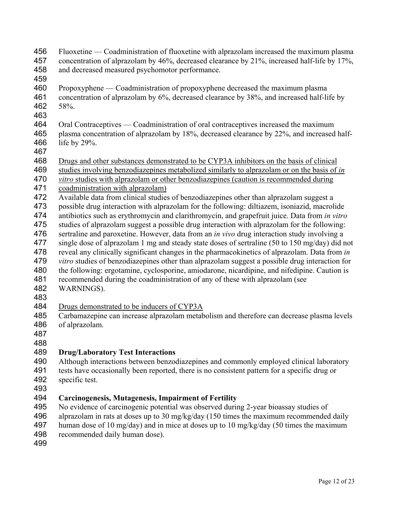- Fluoxetine Coadministration of fluoxetine with alprazolam increased the maximum plasma concentration of alprazolam by 46%, decreased clearance by 21%, increased half-life by 17%,
- and decreased measured psychomotor performance.
- 
- Propoxyphene Coadministration of propoxyphene decreased the maximum plasma concentration of alprazolam by 6%, decreased clearance by 38%, and increased half-life by 58%.
- 
- Oral Contraceptives Coadministration of oral contraceptives increased the maximum plasma concentration of alprazolam by 18%, decreased clearance by 22%, and increased half-life by 29%.
- 

Drugs and other substances demonstrated to be CYP3A inhibitors on the basis of clinical

studies involving benzodiazepines metabolized similarly to alprazolam or on the basis of *in* 

*vitro* studies with alprazolam or other benzodiazepines (caution is recommended during coadministration with alprazolam)

- Available data from clinical studies of benzodiazepines other than alprazolam suggest a
- possible drug interaction with alprazolam for the following: diltiazem, isoniazid, macrolide
- antibiotics such as erythromycin and clarithromycin, and grapefruit juice. Data from *in vitro*
- studies of alprazolam suggest a possible drug interaction with alprazolam for the following:
- sertraline and paroxetine. However, data from an *in vivo* drug interaction study involving a
- single dose of alprazolam 1 mg and steady state doses of sertraline (50 to 150 mg/day) did not
- reveal any clinically significant changes in the pharmacokinetics of alprazolam. Data from *in vitro* studies of benzodiazepines other than alprazolam suggest a possible drug interaction for
- the following: ergotamine, cyclosporine, amiodarone, nicardipine, and nifedipine. Caution is
- recommended during the coadministration of any of these with alprazolam (see
- WARNINGS).
- 
- Drugs demonstrated to be inducers of CYP3A
- Carbamazepine can increase alprazolam metabolism and therefore can decrease plasma levels of alprazolam.
- 
- 

# **Drug/Laboratory Test Interactions**

Although interactions between benzodiazepines and commonly employed clinical laboratory tests have occasionally been reported, there is no consistent pattern for a specific drug or specific test.

# **Carcinogenesis, Mutagenesis, Impairment of Fertility**

- No evidence of carcinogenic potential was observed during 2-year bioassay studies of
- alprazolam in rats at doses up to 30 mg/kg/day (150 times the maximum recommended daily
- human dose of 10 mg/day) and in mice at doses up to 10 mg/kg/day (50 times the maximum
- recommended daily human dose).
-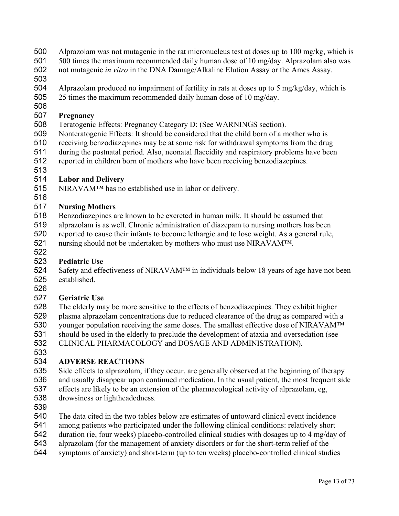- Alprazolam was not mutagenic in the rat micronucleus test at doses up to 100 mg/kg, which is
- 500 times the maximum recommended daily human dose of 10 mg/day. Alprazolam also was
- not mutagenic *in vitro* in the DNA Damage/Alkaline Elution Assay or the Ames Assay.
- 
- Alprazolam produced no impairment of fertility in rats at doses up to 5 mg/kg/day, which is 25 times the maximum recommended daily human dose of 10 mg/day.
- 

#### **Pregnancy**

- Teratogenic Effects: Pregnancy Category D: (See WARNINGS section).
- Nonteratogenic Effects: It should be considered that the child born of a mother who is receiving benzodiazepines may be at some risk for withdrawal symptoms from the drug
- during the postnatal period. Also, neonatal flaccidity and respiratory problems have been
- reported in children born of mothers who have been receiving benzodiazepines.
- 

## **Labor and Delivery**

- NIRAVAM™ has no established use in labor or delivery.
- 

## **Nursing Mothers**

- Benzodiazepines are known to be excreted in human milk. It should be assumed that alprazolam is as well. Chronic administration of diazepam to nursing mothers has been reported to cause their infants to become lethargic and to lose weight. As a general rule, nursing should not be undertaken by mothers who must use NIRAVAM™.
- **Pediatric Use**

524 Safety and effectiveness of NIRAVAM<sup>™</sup> in individuals below 18 years of age have not been established.

#### **Geriatric Use**

The elderly may be more sensitive to the effects of benzodiazepines. They exhibit higher plasma alprazolam concentrations due to reduced clearance of the drug as compared with a 530 younger population receiving the same doses. The smallest effective dose of NIRAVAM™ should be used in the elderly to preclude the development of ataxia and oversedation (see CLINICAL PHARMACOLOGY and DOSAGE AND ADMINISTRATION).

# **ADVERSE REACTIONS**

Side effects to alprazolam, if they occur, are generally observed at the beginning of therapy and usually disappear upon continued medication. In the usual patient, the most frequent side effects are likely to be an extension of the pharmacological activity of alprazolam, eg, drowsiness or lightheadedness.

- 
- The data cited in the two tables below are estimates of untoward clinical event incidence
- among patients who participated under the following clinical conditions: relatively short
- duration (ie, four weeks) placebo-controlled clinical studies with dosages up to 4 mg/day of
- alprazolam (for the management of anxiety disorders or for the short-term relief of the
- symptoms of anxiety) and short-term (up to ten weeks) placebo-controlled clinical studies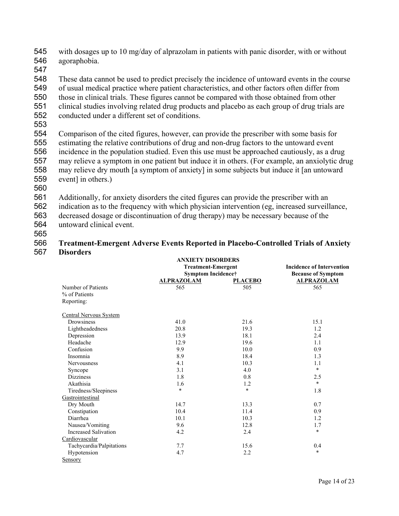545 with dosages up to 10 mg/day of alprazolam in patients with panic disorder, with or without 546 agoraphobia.

547

These data cannot be used to predict precisely the incidence of untoward events in the course of usual medical practice where patient characteristics, and other factors often differ from those in clinical trials. These figures cannot be compared with those obtained from other clinical studies involving related drug products and placebo as each group of drug trials are conducted under a different set of conditions.

553

Comparison of the cited figures, however, can provide the prescriber with some basis for estimating the relative contributions of drug and non-drug factors to the untoward event incidence in the population studied. Even this use must be approached cautiously, as a drug may relieve a symptom in one patient but induce it in others. (For example, an anxiolytic drug may relieve dry mouth [a symptom of anxiety] in some subjects but induce it [an untoward event] in others.)

560

Additionally, for anxiety disorders the cited figures can provide the prescriber with an indication as to the frequency with which physician intervention (eg, increased surveillance, decreased dosage or discontinuation of drug therapy) may be necessary because of the untoward clinical event.

565

#### 566 **Treatment-Emergent Adverse Events Reported in Placebo-Controlled Trials of Anxiety**  567 **Disorders**

|                               |                           | <b>ANXIETY DISORDERS</b>                                      |                   |
|-------------------------------|---------------------------|---------------------------------------------------------------|-------------------|
|                               | <b>Treatment-Emergent</b> | <b>Incidence of Intervention</b><br><b>Because of Symptom</b> |                   |
|                               | Symptom Incidence†        |                                                               |                   |
|                               | <b>ALPRAZOLAM</b>         | <b>PLACEBO</b>                                                | <b>ALPRAZOLAM</b> |
| Number of Patients            | 565                       | 505                                                           | 565               |
| % of Patients                 |                           |                                                               |                   |
| Reporting:                    |                           |                                                               |                   |
| <b>Central Nervous System</b> |                           |                                                               |                   |
| Drowsiness                    | 41.0                      | 21.6                                                          | 15.1              |
| Lightheadedness               | 20.8                      | 19.3                                                          | 1.2               |
| Depression                    | 13.9                      | 18.1                                                          | 2.4               |
| Headache                      | 12.9                      | 19.6                                                          | 1.1               |
| Confusion                     | 9.9                       | 10.0                                                          | 0.9               |
| Insomnia                      | 8.9                       | 18.4                                                          | 1.3               |
| <b>Nervousness</b>            | 4.1                       | 10.3                                                          | 1.1               |
| Syncope                       | 3.1                       | 4.0                                                           | $\ast$            |
| <b>Dizziness</b>              | 1.8                       | 0.8                                                           | 2.5               |
| Akathisia                     | 1.6                       | 1.2                                                           | $\ast$            |
| Tiredness/Sleepiness          | $\ast$                    | $\ast$                                                        | 1.8               |
| Gastrointestinal              |                           |                                                               |                   |
| Dry Mouth                     | 14.7                      | 13.3                                                          | 0.7               |
| Constipation                  | 10.4                      | 11.4                                                          | 0.9               |
| Diarrhea                      | 10.1                      | 10.3                                                          | 1.2               |
| Nausea/Vomiting               | 9.6                       | 12.8                                                          | 1.7               |
| <b>Increased Salivation</b>   | 4.2                       | 2.4                                                           | $\ast$            |
| Cardiovascular                |                           |                                                               |                   |
| Tachycardia/Palpitations      | 7.7                       | 15.6                                                          | 0.4               |
| Hypotension                   | 4.7                       | 2.2                                                           | $\ast$            |
| Sensory                       |                           |                                                               |                   |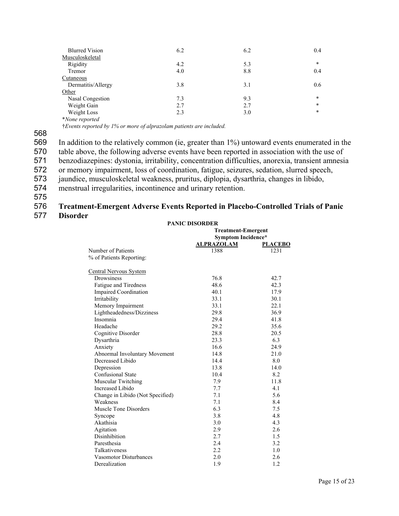| <b>Blurred Vision</b> | 6.2 | 6.2 | 0.4    |
|-----------------------|-----|-----|--------|
| Musculoskeletal       |     |     |        |
| Rigidity              | 4.2 | 5.3 | $\ast$ |
| Tremor                | 4.0 | 8.8 | 0.4    |
| Cutaneous             |     |     |        |
| Dermatitis/Allergy    | 3.8 | 3.1 | 0.6    |
| Other                 |     |     |        |
| Nasal Congestion      | 7.3 | 9.3 | $\ast$ |
| Weight Gain           | 2.7 | 2.7 | *      |
| Weight Loss           | 2.3 | 3.0 | $\ast$ |
| $+77$ $+7$            |     |     |        |

\**None reported*

†*Events reported by 1% or more of alprazolam patients are included.*

568

569 In addition to the relatively common (ie, greater than 1%) untoward events enumerated in the

570 table above, the following adverse events have been reported in association with the use of

- 571 benzodiazepines: dystonia, irritability, concentration difficulties, anorexia, transient amnesia
- 572 or memory impairment, loss of coordination, fatigue, seizures, sedation, slurred speech,
- 573 jaundice, musculoskeletal weakness, pruritus, diplopia, dysarthria, changes in libido,
- 574 menstrual irregularities, incontinence and urinary retention.
- 575

#### 576 **Treatment-Emergent Adverse Events Reported in Placebo-Controlled Trials of Panic**  577 **Disorder PANIC DISORDER**

|                                  | PANIC DISORDER     |                           |  |  |
|----------------------------------|--------------------|---------------------------|--|--|
|                                  |                    | <b>Treatment-Emergent</b> |  |  |
|                                  | Symptom Incidence* |                           |  |  |
|                                  | <b>ALPRAZOLAM</b>  | <b>PLACEBO</b>            |  |  |
| Number of Patients               | 1388               | 1231                      |  |  |
| % of Patients Reporting:         |                    |                           |  |  |
| <b>Central Nervous System</b>    |                    |                           |  |  |
| <b>Drowsiness</b>                | 76.8               | 42.7                      |  |  |
| Fatigue and Tiredness            | 48.6               | 42.3                      |  |  |
| <b>Impaired Coordination</b>     | 40.1               | 17.9                      |  |  |
| Irritability                     | 33.1               | 30.1                      |  |  |
| Memory Impairment                | 33.1               | 22.1                      |  |  |
| Lightheadedness/Dizziness        | 29.8               | 36.9                      |  |  |
| Insomnia                         | 29.4               | 41.8                      |  |  |
| Headache                         | 29.2               | 35.6                      |  |  |
| Cognitive Disorder               | 28.8               | 20.5                      |  |  |
| Dysarthria                       | 23.3               | 6.3                       |  |  |
| Anxiety                          | 16.6               | 24.9                      |  |  |
| Abnormal Involuntary Movement    | 14.8               | 21.0                      |  |  |
| Decreased Libido                 | 14.4               | 8.0                       |  |  |
| Depression                       | 13.8               | 14.0                      |  |  |
| Confusional State                | 10.4               | 8.2                       |  |  |
| Muscular Twitching               | 7.9                | 11.8                      |  |  |
| <b>Increased Libido</b>          | 7.7                | 4.1                       |  |  |
| Change in Libido (Not Specified) | 7.1                | 5.6                       |  |  |
| Weakness                         | 7.1                | 8.4                       |  |  |
| <b>Muscle Tone Disorders</b>     | 6.3                | 7.5                       |  |  |
| Syncope                          | 3.8                | 4.8                       |  |  |
| Akathisia                        | 3.0                | 4.3                       |  |  |
| Agitation                        | 2.9                | 2.6                       |  |  |
| Disinhibition                    | 2.7                | 1.5                       |  |  |
| Paresthesia                      | 2.4                | 3.2                       |  |  |
| Talkativeness                    | 2.2                | 1.0                       |  |  |
| Vasomotor Disturbances           | 2.0                | 2.6                       |  |  |
| Derealization                    | 1.9                | 1.2                       |  |  |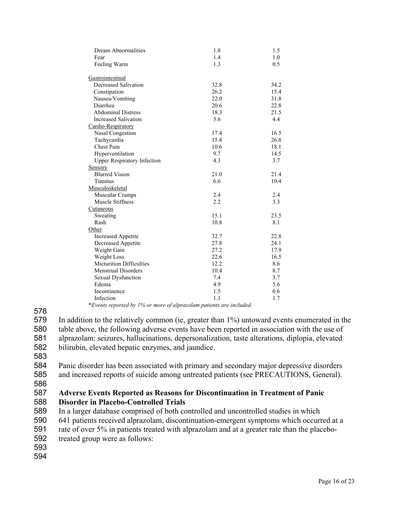| Dream Abnormalities                | 1.8  | 1.5  |
|------------------------------------|------|------|
| Fear                               | 1.4  | 1.0  |
| Feeling Warm                       | 1.3  | 0.5  |
| Gastrointestinal                   |      |      |
| Decreased Salivation               | 32.8 | 34.2 |
| Constipation                       | 26.2 | 15.4 |
| Nausea/Vomiting                    | 22.0 | 31.8 |
| Diarrhea                           | 20.6 | 22.8 |
| <b>Abdominal Distress</b>          | 18.3 | 21.5 |
| <b>Increased Salivation</b>        | 5.6  | 4.4  |
| Cardio-Respiratory                 |      |      |
| Nasal Congestion                   | 17.4 | 16.5 |
| Tachycardia                        | 15.4 | 26.8 |
| <b>Chest Pain</b>                  | 10.6 | 18.1 |
| Hyperventilation                   | 9.7  | 14.5 |
| <b>Upper Respiratory Infection</b> | 4.3  | 3.7  |
| Sensory                            |      |      |
| <b>Blurred Vision</b>              | 21.0 | 21.4 |
| Tinnitus                           | 6.6  | 10.4 |
| Musculoskeletal                    |      |      |
| Muscular Cramps                    | 2.4  | 2.4  |
| Muscle Stiffness                   | 2.2  | 3.3  |
| Cutaneous                          |      |      |
| Sweating                           | 15.1 | 23.5 |
| Rash                               | 10.8 | 8.1  |
| Other                              |      |      |
| <b>Increased Appetite</b>          | 32.7 | 22.8 |
| Decreased Appetite                 | 27.8 | 24.1 |
| Weight Gain                        | 27.2 | 17.9 |
| Weight Loss                        | 22.6 | 16.5 |
| <b>Micturition Difficulties</b>    | 12.2 | 8.6  |
| <b>Menstrual Disorders</b>         | 10.4 | 8.7  |
| <b>Sexual Dysfunction</b>          | 7.4  | 3.7  |
| Edema                              | 4.9  | 5.6  |
| Incontinence                       | 1.5  | 0.6  |
| Infection                          | 1.3  | 1.7  |

<sup>\*</sup>*Events reported by 1% or more of alprazolam patients are included.*

578

In addition to the relatively common (ie, greater than  $1\%$ ) untoward events enumerated in the table above, the following adverse events have been reported in association with the use of alprazolam: seizures, hallucinations, depersonalization, taste alterations, diplopia, elevated bilirubin, elevated hepatic enzymes, and jaundice.

583

584 Panic disorder has been associated with primary and secondary major depressive disorders 585 and increased reports of suicide among untreated patients (see PRECAUTIONS, General).

586

#### 587 **Adverse Events Reported as Reasons for Discontinuation in Treatment of Panic**  588 **Disorder in Placebo-Controlled Trials**

589 In a larger database comprised of both controlled and uncontrolled studies in which 590 641 patients received alprazolam, discontinuation-emergent symptoms which occurred at a

591 rate of over 5% in patients treated with alprazolam and at a greater rate than the placebo-592 treated group were as follows:

- 
- 593

594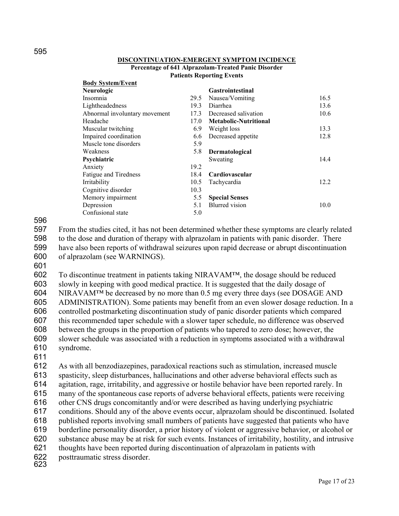#### **DISCONTINUATION-EMERGENT SYMPTOM INCIDENCE**

#### **Percentage of 641 Alprazolam-Treated Panic Disorder Patients Reporting Events**

| <b>Body System/Event</b>      |      |                              |      |
|-------------------------------|------|------------------------------|------|
| <b>Neurologic</b>             |      | <b>Gastrointestinal</b>      |      |
| Insomnia                      | 29.5 | Nausea/Vomiting              | 16.5 |
| Lightheadedness               | 19.3 | Diarrhea                     | 13.6 |
| Abnormal involuntary movement | 17.3 | Decreased salivation         | 10.6 |
| Headache                      | 17.0 | <b>Metabolic-Nutritional</b> |      |
| Muscular twitching            | 6.9  | Weight loss                  | 13.3 |
| Impaired coordination         | 6.6  | Decreased appetite           | 12.8 |
| Muscle tone disorders         | 5.9  |                              |      |
| Weakness                      | 5.8  | Dermatological               |      |
| Psychiatric                   |      | Sweating                     | 14.4 |
| Anxiety                       | 19.2 |                              |      |
| Fatigue and Tiredness         | 18.4 | Cardiovascular               |      |
| Irritability                  | 10.5 | Tachycardia                  | 12.2 |
| Cognitive disorder            | 10.3 |                              |      |
| Memory impairment             | 5.5  | <b>Special Senses</b>        |      |
| Depression                    | 5.1  | <b>Blurred</b> vision        | 10.0 |
| Confusional state             | 5.0  |                              |      |

#### 596

From the studies cited, it has not been determined whether these symptoms are clearly related to the dose and duration of therapy with alprazolam in patients with panic disorder. There have also been reports of withdrawal seizures upon rapid decrease or abrupt discontinuation of alprazolam (see WARNINGS).

601

To discontinue treatment in patients taking NIRAVAM™, the dosage should be reduced slowly in keeping with good medical practice. It is suggested that the daily dosage of NIRAVAM™ be decreased by no more than 0.5 mg every three days (see DOSAGE AND ADMINISTRATION). Some patients may benefit from an even slower dosage reduction. In a controlled postmarketing discontinuation study of panic disorder patients which compared this recommended taper schedule with a slower taper schedule, no difference was observed between the groups in the proportion of patients who tapered to zero dose; however, the slower schedule was associated with a reduction in symptoms associated with a withdrawal syndrome.

611

As with all benzodiazepines, paradoxical reactions such as stimulation, increased muscle spasticity, sleep disturbances, hallucinations and other adverse behavioral effects such as agitation, rage, irritability, and aggressive or hostile behavior have been reported rarely. In many of the spontaneous case reports of adverse behavioral effects, patients were receiving other CNS drugs concomitantly and/or were described as having underlying psychiatric conditions. Should any of the above events occur, alprazolam should be discontinued. Isolated published reports involving small numbers of patients have suggested that patients who have borderline personality disorder, a prior history of violent or aggressive behavior, or alcohol or substance abuse may be at risk for such events. Instances of irritability, hostility, and intrusive 621 thoughts have been reported during discontinuation of alprazolam in patients with<br>622 posttraumatic stress disorder.<br>623 posttraumatic stress disorder.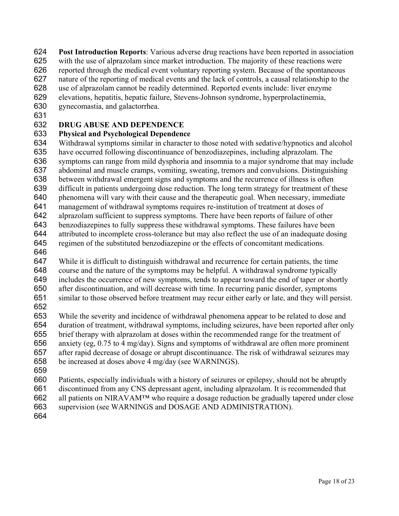**Post Introduction Reports**: Various adverse drug reactions have been reported in association with the use of alprazolam since market introduction. The majority of these reactions were reported through the medical event voluntary reporting system. Because of the spontaneous nature of the reporting of medical events and the lack of controls, a causal relationship to the use of alprazolam cannot be readily determined. Reported events include: liver enzyme elevations, hepatitis, hepatic failure, Stevens-Johnson syndrome, hyperprolactinemia, gynecomastia, and galactorrhea.

#### **DRUG ABUSE AND DEPENDENCE**

#### **Physical and Psychological Dependence**

Withdrawal symptoms similar in character to those noted with sedative/hypnotics and alcohol have occurred following discontinuance of benzodiazepines, including alprazolam. The symptoms can range from mild dysphoria and insomnia to a major syndrome that may include abdominal and muscle cramps, vomiting, sweating, tremors and convulsions. Distinguishing between withdrawal emergent signs and symptoms and the recurrence of illness is often difficult in patients undergoing dose reduction. The long term strategy for treatment of these phenomena will vary with their cause and the therapeutic goal. When necessary, immediate management of withdrawal symptoms requires re-institution of treatment at doses of alprazolam sufficient to suppress symptoms. There have been reports of failure of other benzodiazepines to fully suppress these withdrawal symptoms. These failures have been attributed to incomplete cross-tolerance but may also reflect the use of an inadequate dosing regimen of the substituted benzodiazepine or the effects of concomitant medications.

While it is difficult to distinguish withdrawal and recurrence for certain patients, the time course and the nature of the symptoms may be helpful. A withdrawal syndrome typically includes the occurrence of new symptoms, tends to appear toward the end of taper or shortly after discontinuation, and will decrease with time. In recurring panic disorder, symptoms similar to those observed before treatment may recur either early or late, and they will persist.

While the severity and incidence of withdrawal phenomena appear to be related to dose and duration of treatment, withdrawal symptoms, including seizures, have been reported after only brief therapy with alprazolam at doses within the recommended range for the treatment of anxiety (eg, 0.75 to 4 mg/day). Signs and symptoms of withdrawal are often more prominent after rapid decrease of dosage or abrupt discontinuance. The risk of withdrawal seizures may be increased at doses above 4 mg/day (see WARNINGS).

Patients, especially individuals with a history of seizures or epilepsy, should not be abruptly discontinued from any CNS depressant agent, including alprazolam. It is recommended that all patients on NIRAVAM™ who require a dosage reduction be gradually tapered under close supervision (see WARNINGS and DOSAGE AND ADMINISTRATION).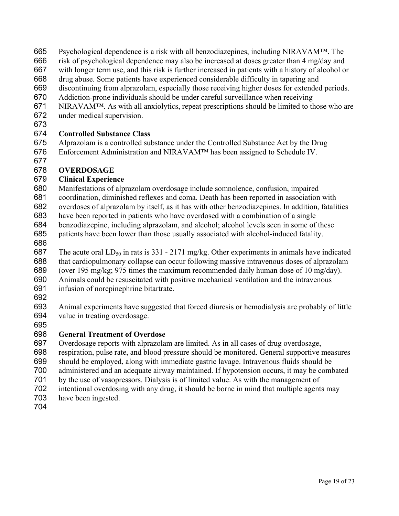- Psychological dependence is a risk with all benzodiazepines, including NIRAVAM™. The
- risk of psychological dependence may also be increased at doses greater than 4 mg/day and
- with longer term use, and this risk is further increased in patients with a history of alcohol or
- drug abuse. Some patients have experienced considerable difficulty in tapering and
- discontinuing from alprazolam, especially those receiving higher doses for extended periods.
- Addiction-prone individuals should be under careful surveillance when receiving
- NIRAVAM™. As with all anxiolytics, repeat prescriptions should be limited to those who are under medical supervision.
- 

## **Controlled Substance Class**

- Alprazolam is a controlled substance under the Controlled Substance Act by the Drug Enforcement Administration and NIRAVAM™ has been assigned to Schedule IV.
- 
- **OVERDOSAGE**

## **Clinical Experience**

- Manifestations of alprazolam overdosage include somnolence, confusion, impaired coordination, diminished reflexes and coma. Death has been reported in association with
- overdoses of alprazolam by itself, as it has with other benzodiazepines. In addition, fatalities
- have been reported in patients who have overdosed with a combination of a single
- benzodiazepine, including alprazolam, and alcohol; alcohol levels seen in some of these
- patients have been lower than those usually associated with alcohol-induced fatality.
- 

687 The acute oral  $LD_{50}$  in rats is 331 - 2171 mg/kg. Other experiments in animals have indicated that cardiopulmonary collapse can occur following massive intravenous doses of alprazolam (over 195 mg/kg; 975 times the maximum recommended daily human dose of 10 mg/day). Animals could be resuscitated with positive mechanical ventilation and the intravenous infusion of norepinephrine bitartrate.

- 
- Animal experiments have suggested that forced diuresis or hemodialysis are probably of little value in treating overdosage.
- 

# **General Treatment of Overdose**

Overdosage reports with alprazolam are limited. As in all cases of drug overdosage,

respiration, pulse rate, and blood pressure should be monitored. General supportive measures

- should be employed, along with immediate gastric lavage. Intravenous fluids should be
- administered and an adequate airway maintained. If hypotension occurs, it may be combated
- by the use of vasopressors. Dialysis is of limited value. As with the management of
- intentional overdosing with any drug, it should be borne in mind that multiple agents may
- have been ingested.
-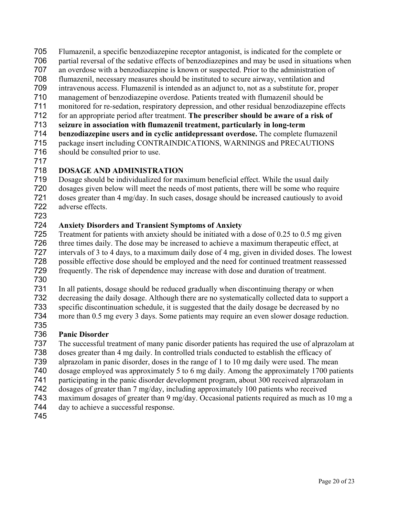- Flumazenil, a specific benzodiazepine receptor antagonist, is indicated for the complete or
- partial reversal of the sedative effects of benzodiazepines and may be used in situations when
- an overdose with a benzodiazepine is known or suspected. Prior to the administration of
- flumazenil, necessary measures should be instituted to secure airway, ventilation and
- intravenous access. Flumazenil is intended as an adjunct to, not as a substitute for, proper
- management of benzodiazepine overdose. Patients treated with flumazenil should be monitored for re-sedation, respiratory depression, and other residual benzodiazepine effects
- for an appropriate period after treatment. **The prescriber should be aware of a risk of**
- **seizure in association with flumazenil treatment, particularly in long-term**
- **benzodiazepine users and in cyclic antidepressant overdose.** The complete flumazenil
- package insert including CONTRAINDICATIONS, WARNINGS and PRECAUTIONS
- should be consulted prior to use.
- 

# **DOSAGE AND ADMINISTRATION**

Dosage should be individualized for maximum beneficial effect. While the usual daily dosages given below will meet the needs of most patients, there will be some who require doses greater than 4 mg/day. In such cases, dosage should be increased cautiously to avoid adverse effects.

## **Anxiety Disorders and Transient Symptoms of Anxiety**

Treatment for patients with anxiety should be initiated with a dose of 0.25 to 0.5 mg given three times daily. The dose may be increased to achieve a maximum therapeutic effect, at intervals of 3 to 4 days, to a maximum daily dose of 4 mg, given in divided doses. The lowest possible effective dose should be employed and the need for continued treatment reassessed frequently. The risk of dependence may increase with dose and duration of treatment.

In all patients, dosage should be reduced gradually when discontinuing therapy or when decreasing the daily dosage. Although there are no systematically collected data to support a specific discontinuation schedule, it is suggested that the daily dosage be decreased by no more than 0.5 mg every 3 days. Some patients may require an even slower dosage reduction.

# **Panic Disorder**

The successful treatment of many panic disorder patients has required the use of alprazolam at doses greater than 4 mg daily. In controlled trials conducted to establish the efficacy of

- alprazolam in panic disorder, doses in the range of 1 to 10 mg daily were used. The mean
- dosage employed was approximately 5 to 6 mg daily. Among the approximately 1700 patients
- participating in the panic disorder development program, about 300 received alprazolam in
- dosages of greater than 7 mg/day, including approximately 100 patients who received
- maximum dosages of greater than 9 mg/day. Occasional patients required as much as 10 mg a
- day to achieve a successful response.
-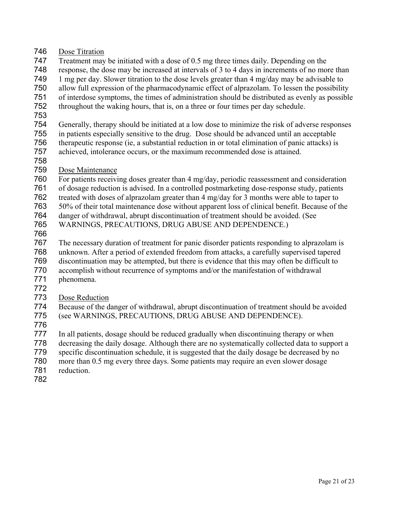- Dose Titration
- Treatment may be initiated with a dose of 0.5 mg three times daily. Depending on the
- response, the dose may be increased at intervals of 3 to 4 days in increments of no more than 1 mg per day. Slower titration to the dose levels greater than 4 mg/day may be advisable to
- allow full expression of the pharmacodynamic effect of alprazolam. To lessen the possibility
- of interdose symptoms, the times of administration should be distributed as evenly as possible
- throughout the waking hours, that is, on a three or four times per day schedule.
- 
- Generally, therapy should be initiated at a low dose to minimize the risk of adverse responses in patients especially sensitive to the drug. Dose should be advanced until an acceptable therapeutic response (ie, a substantial reduction in or total elimination of panic attacks) is achieved, intolerance occurs, or the maximum recommended dose is attained.
- 
- Dose Maintenance
- For patients receiving doses greater than 4 mg/day, periodic reassessment and consideration
- of dosage reduction is advised. In a controlled postmarketing dose-response study, patients
- treated with doses of alprazolam greater than 4 mg/day for 3 months were able to taper to
- 50% of their total maintenance dose without apparent loss of clinical benefit. Because of the
- danger of withdrawal, abrupt discontinuation of treatment should be avoided. (See
- WARNINGS, PRECAUTIONS, DRUG ABUSE AND DEPENDENCE.)
- 

The necessary duration of treatment for panic disorder patients responding to alprazolam is unknown. After a period of extended freedom from attacks, a carefully supervised tapered discontinuation may be attempted, but there is evidence that this may often be difficult to accomplish without recurrence of symptoms and/or the manifestation of withdrawal phenomena.

- Dose Reduction
- Because of the danger of withdrawal, abrupt discontinuation of treatment should be avoided (see WARNINGS, PRECAUTIONS, DRUG ABUSE AND DEPENDENCE).
- 

In all patients, dosage should be reduced gradually when discontinuing therapy or when

- decreasing the daily dosage. Although there are no systematically collected data to support a
- specific discontinuation schedule, it is suggested that the daily dosage be decreased by no
- more than 0.5 mg every three days. Some patients may require an even slower dosage
- reduction.
-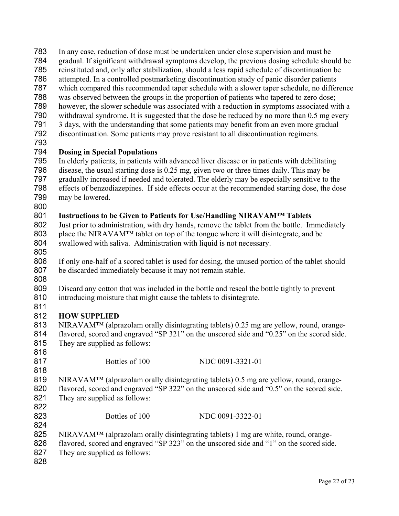- In any case, reduction of dose must be undertaken under close supervision and must be
- gradual. If significant withdrawal symptoms develop, the previous dosing schedule should be
- reinstituted and, only after stabilization, should a less rapid schedule of discontinuation be
- attempted. In a controlled postmarketing discontinuation study of panic disorder patients
- which compared this recommended taper schedule with a slower taper schedule, no difference was observed between the groups in the proportion of patients who tapered to zero dose;
- however, the slower schedule was associated with a reduction in symptoms associated with a
- withdrawal syndrome. It is suggested that the dose be reduced by no more than 0.5 mg every
- 3 days, with the understanding that some patients may benefit from an even more gradual
- discontinuation. Some patients may prove resistant to all discontinuation regimens.
- 

## **Dosing in Special Populations**

In elderly patients, in patients with advanced liver disease or in patients with debilitating disease, the usual starting dose is 0.25 mg, given two or three times daily. This may be gradually increased if needed and tolerated. The elderly may be especially sensitive to the effects of benzodiazepines. If side effects occur at the recommended starting dose, the dose may be lowered.

**Instructions to be Given to Patients for Use/Handling NIRAVAM™ Tablets**  Just prior to administration, with dry hands, remove the tablet from the bottle. Immediately 803 place the NIRAVAM<sup>TM</sup> tablet on top of the tongue where it will disintegrate, and be swallowed with saliva. Administration with liquid is not necessary.

- 
- 806 If only one-half of a scored tablet is used for dosing, the unused portion of the tablet should be discarded immediately because it may not remain stable.
- 

Discard any cotton that was included in the bottle and reseal the bottle tightly to prevent introducing moisture that might cause the tablets to disintegrate.

# **HOW SUPPLIED**

813 NIRAVAM<sup>™</sup> (alprazolam orally disintegrating tablets) 0.25 mg are yellow, round, orange-814 flavored, scored and engraved "SP 321" on the unscored side and "0.25" on the scored side. They are supplied as follows: 

817 Bottles of 100 NDC 0091-3321-01

819 NIRAVAM<sup>TM</sup> (alprazolam orally disintegrating tablets) 0.5 mg are yellow, round, orange-820 flavored, scored and engraved "SP 322" on the unscored side and "0.5" on the scored side. 821 They are supplied as follows: 

823 Bottles of 100 NDC 0091-3322-01

825 NIRAVAM<sup>™</sup> (alprazolam orally disintegrating tablets) 1 mg are white, round, orange-

826 flavored, scored and engraved "SP 323" on the unscored side and "1" on the scored side. They are supplied as follows: